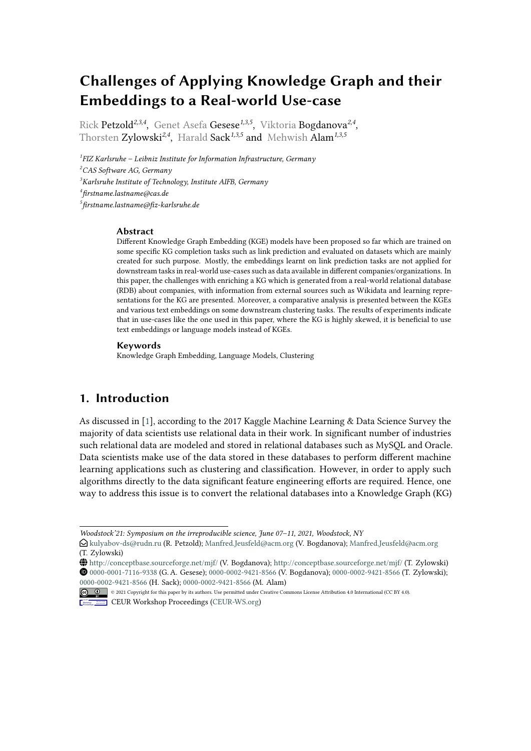# **Challenges of Applying Knowledge Graph and their Embeddings to a Real-world Use-case**

Rick Petzold*2,3,4* , Genet Asefa Gesese*1,3,5* , Viktoria Bogdanova*2,4* , Thorsten Zylowski*2,4* , Harald Sack*1,3,5* and Mehwish Alam*1,3,5*

 *FIZ Karlsruhe – Leibniz Institute for Information Infrastructure, Germany CAS Software AG, Germany Karlsruhe Institute of Technology, Institute AIFB, Germany firstname.lastname@cas.de firstname.lastname@fiz-karlsruhe.de*

#### **Abstract**

Different Knowledge Graph Embedding (KGE) models have been proposed so far which are trained on some specific KG completion tasks such as link prediction and evaluated on datasets which are mainly created for such purpose. Mostly, the embeddings learnt on link prediction tasks are not applied for downstream tasks in real-world use-cases such as data available in different companies/organizations. In this paper, the challenges with enriching a KG which is generated from a real-world relational database (RDB) about companies, with information from external sources such as Wikidata and learning representations for the KG are presented. Moreover, a comparative analysis is presented between the KGEs and various text embeddings on some downstream clustering tasks. The results of experiments indicate that in use-cases like the one used in this paper, where the KG is highly skewed, it is beneficial to use text embeddings or language models instead of KGEs.

#### **Keywords**

Knowledge Graph Embedding, Language Models, Clustering

### **1. Introduction**

As discussed in [\[1\]](#page-4-0), according to the 2017 Kaggle Machine Learning & Data Science Survey the majority of data scientists use relational data in their work. In significant number of industries such relational data are modeled and stored in relational databases such as MySQL and Oracle. Data scientists make use of the data stored in these databases to perform different machine learning applications such as clustering and classification. However, in order to apply such algorithms directly to the data significant feature engineering efforts are required. Hence, one way to address this issue is to convert the relational databases into a Knowledge Graph (KG)

*Woodstock'21: Symposium on the irreproducible science, June 07–11, 2021, Woodstock, NY*

<sup>&</sup>quot; [kulyabov-ds@rudn.ru](mailto:kulyabov-ds@rudn.ru) (R. Petzold); [Manfred.Jeusfeld@acm.org](mailto:Manfred.Jeusfeld@acm.org) (V. Bogdanova); [Manfred.Jeusfeld@acm.org](mailto:Manfred.Jeusfeld@acm.org) (T. Zylowski)

<sup>~</sup> <http://conceptbase.sourceforge.net/mjf/> (V. Bogdanova); <http://conceptbase.sourceforge.net/mjf/> (T. Zylowski) [0000-0001-7116-9338](https://orcid.org/0000-0001-7116-9338) (G. A. Gesese); [0000-0002-9421-8566](https://orcid.org/0000-0002-9421-8566) (V. Bogdanova); [0000-0002-9421-8566](https://orcid.org/0000-0002-9421-8566) (T. Zylowski); [0000-0002-9421-8566](https://orcid.org/0000-0002-9421-8566) (H. Sack); [0000-0002-9421-8566](https://orcid.org/0000-0002-9421-8566) (M. Alam)

<sup>©</sup> 2021 Copyright for this paper by its authors. Use permitted under Creative Commons License Attribution 4.0 International (CC BY 4.0).

**CEUR Workshop [Proceedings](http://ceur-ws.org) [\(CEUR-WS.org\)](http://ceur-ws.org)**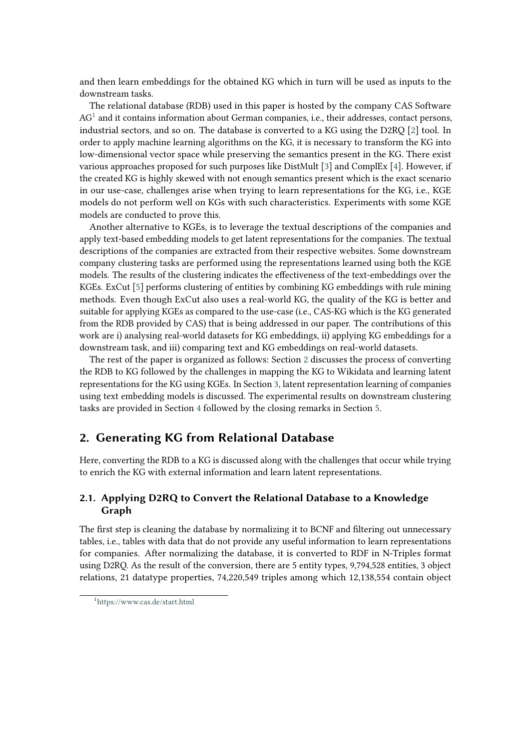and then learn embeddings for the obtained KG which in turn will be used as inputs to the downstream tasks.

The relational database (RDB) used in this paper is hosted by the company CAS Software  $AG<sup>1</sup>$  $AG<sup>1</sup>$  $AG<sup>1</sup>$  and it contains information about German companies, i.e., their addresses, contact persons, industrial sectors, and so on. The database is converted to a KG using the D2RQ [\[2\]](#page-5-0) tool. In order to apply machine learning algorithms on the KG, it is necessary to transform the KG into low-dimensional vector space while preserving the semantics present in the KG. There exist various approaches proposed for such purposes like DistMult [\[3\]](#page-5-1) and ComplEx [\[4\]](#page-5-2). However, if the created KG is highly skewed with not enough semantics present which is the exact scenario in our use-case, challenges arise when trying to learn representations for the KG, i.e., KGE models do not perform well on KGs with such characteristics. Experiments with some KGE models are conducted to prove this.

Another alternative to KGEs, is to leverage the textual descriptions of the companies and apply text-based embedding models to get latent representations for the companies. The textual descriptions of the companies are extracted from their respective websites. Some downstream company clustering tasks are performed using the representations learned using both the KGE models. The results of the clustering indicates the effectiveness of the text-embeddings over the KGEs. ExCut [\[5\]](#page-5-3) performs clustering of entities by combining KG embeddings with rule mining methods. Even though ExCut also uses a real-world KG, the quality of the KG is better and suitable for applying KGEs as compared to the use-case (i.e., CAS-KG which is the KG generated from the RDB provided by CAS) that is being addressed in our paper. The contributions of this work are i) analysing real-world datasets for KG embeddings, ii) applying KG embeddings for a downstream task, and iii) comparing text and KG embeddings on real-world datasets.

The rest of the paper is organized as follows: Section [2](#page-1-1) discusses the process of converting the RDB to KG followed by the challenges in mapping the KG to Wikidata and learning latent representations for the KG using KGEs. In Section [3,](#page-3-0) latent representation learning of companies using text embedding models is discussed. The experimental results on downstream clustering tasks are provided in Section [4](#page-3-1) followed by the closing remarks in Section [5.](#page-4-1)

### <span id="page-1-1"></span>**2. Generating KG from Relational Database**

Here, converting the RDB to a KG is discussed along with the challenges that occur while trying to enrich the KG with external information and learn latent representations.

### **2.1. Applying D2RQ to Convert the Relational Database to a Knowledge Graph**

The first step is cleaning the database by normalizing it to BCNF and filtering out unnecessary tables, i.e., tables with data that do not provide any useful information to learn representations for companies. After normalizing the database, it is converted to RDF in N-Triples format using D2RQ. As the result of the conversion, there are 5 entity types, 9,794,528 entities, 3 object relations, 21 datatype properties, 74,220,549 triples among which 12,138,554 contain object

<span id="page-1-0"></span><sup>1</sup> <https://www.cas.de/start.html>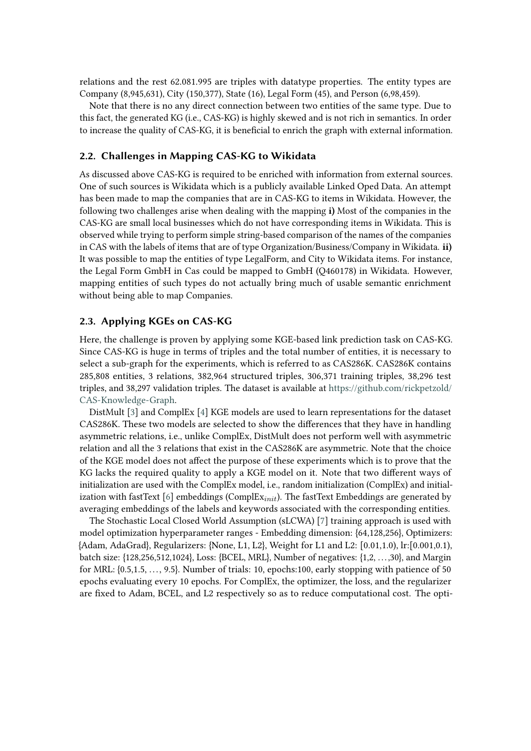relations and the rest 62.081.995 are triples with datatype properties. The entity types are Company (8,945,631), City (150,377), State (16), Legal Form (45), and Person (6,98,459).

Note that there is no any direct connection between two entities of the same type. Due to this fact, the generated KG (i.e., CAS-KG) is highly skewed and is not rich in semantics. In order to increase the quality of CAS-KG, it is beneficial to enrich the graph with external information.

### <span id="page-2-0"></span>**2.2. Challenges in Mapping CAS-KG to Wikidata**

As discussed above CAS-KG is required to be enriched with information from external sources. One of such sources is Wikidata which is a publicly available Linked Oped Data. An attempt has been made to map the companies that are in CAS-KG to items in Wikidata. However, the following two challenges arise when dealing with the mapping **i)** Most of the companies in the CAS-KG are small local businesses which do not have corresponding items in Wikidata. This is observed while trying to perform simple string-based comparison of the names of the companies in CAS with the labels of items that are of type Organization/Business/Company in Wikidata. **ii)** It was possible to map the entities of type LegalForm, and City to Wikidata items. For instance, the Legal Form GmbH in Cas could be mapped to GmbH (Q460178) in Wikidata. However, mapping entities of such types do not actually bring much of usable semantic enrichment without being able to map Companies.

#### <span id="page-2-1"></span>**2.3. Applying KGEs on CAS-KG**

Here, the challenge is proven by applying some KGE-based link prediction task on CAS-KG. Since CAS-KG is huge in terms of triples and the total number of entities, it is necessary to select a sub-graph for the experiments, which is referred to as CAS286K. CAS286K contains 285,808 entities, 3 relations, 382,964 structured triples, 306,371 training triples, 38,296 test triples, and 38,297 validation triples. The dataset is available at [https://github.com/rickpetzold/](https://github.com/rickpetzold/CAS-Knowledge-Graph) [CAS-Knowledge-Graph.](https://github.com/rickpetzold/CAS-Knowledge-Graph)

DistMult [\[3\]](#page-5-1) and ComplEx [\[4\]](#page-5-2) KGE models are used to learn representations for the dataset CAS286K. These two models are selected to show the differences that they have in handling asymmetric relations, i.e., unlike ComplEx, DistMult does not perform well with asymmetric relation and all the 3 relations that exist in the CAS286K are asymmetric. Note that the choice of the KGE model does not affect the purpose of these experiments which is to prove that the KG lacks the required quality to apply a KGE model on it. Note that two different ways of initialization are used with the ComplEx model, i.e., random initialization (ComplEx) and initialization with fastText  $[6]$  embeddings (ComplEx<sub>init</sub>). The fastText Embeddings are generated by averaging embeddings of the labels and keywords associated with the corresponding entities.

The Stochastic Local Closed World Assumption (sLCWA) [\[7\]](#page-5-5) training approach is used with model optimization hyperparameter ranges - Embedding dimension: {64,128,256}, Optimizers: {Adam, AdaGrad}, Regularizers: {None, L1, L2}, Weight for L1 and L2: [0.01,1.0), lr:[0.001,0.1), batch size: {128,256,512,1024}, Loss: {BCEL, MRL}, Number of negatives: {1,2, . . . ,30}, and Margin for MRL: {0.5,1.5, .. . , 9.5}. Number of trials: 10, epochs:100, early stopping with patience of 50 epochs evaluating every 10 epochs. For ComplEx, the optimizer, the loss, and the regularizer are fixed to Adam, BCEL, and L2 respectively so as to reduce computational cost. The opti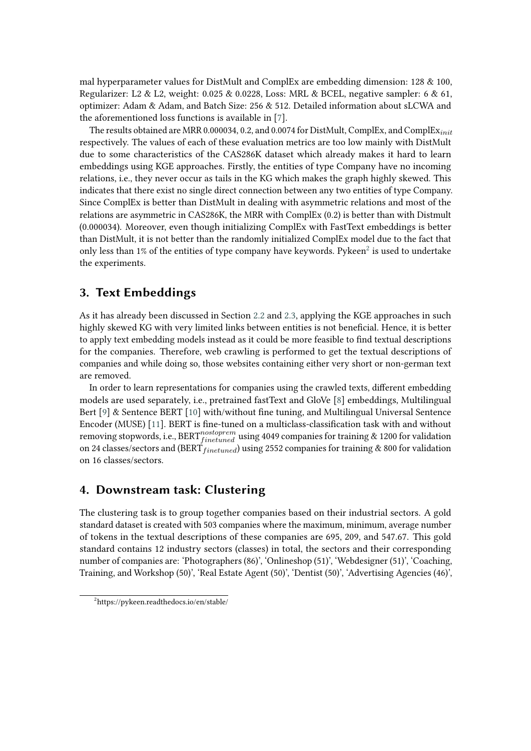mal hyperparameter values for DistMult and ComplEx are embedding dimension: 128 & 100, Regularizer: L2 & L2, weight:  $0.025 \& 0.0228$ , Loss: MRL & BCEL, negative sampler: 6 & 61, optimizer: Adam & Adam, and Batch Size: 256 & 512. Detailed information about sLCWA and the aforementioned loss functions is available in [\[7\]](#page-5-5).

The results obtained are MRR 0.000034, 0.2, and 0.0074 for DistMult, ComplEx, and ComplE $x_{init}$ respectively. The values of each of these evaluation metrics are too low mainly with DistMult due to some characteristics of the CAS286K dataset which already makes it hard to learn embeddings using KGE approaches. Firstly, the entities of type Company have no incoming relations, i.e., they never occur as tails in the KG which makes the graph highly skewed. This indicates that there exist no single direct connection between any two entities of type Company. Since ComplEx is better than DistMult in dealing with asymmetric relations and most of the relations are asymmetric in CAS286K, the MRR with ComplEx (0.2) is better than with Distmult (0.000034). Moreover, even though initializing ComplEx with FastText embeddings is better than DistMult, it is not better than the randomly initialized ComplEx model due to the fact that only less than 1% of the entities of type company have keywords. Pykeen<sup>[2](#page-3-2)</sup> is used to undertake the experiments.

### <span id="page-3-0"></span>**3. Text Embeddings**

As it has already been discussed in Section [2.2](#page-2-0) and [2.3,](#page-2-1) applying the KGE approaches in such highly skewed KG with very limited links between entities is not beneficial. Hence, it is better to apply text embedding models instead as it could be more feasible to find textual descriptions for the companies. Therefore, web crawling is performed to get the textual descriptions of companies and while doing so, those websites containing either very short or non-german text are removed.

In order to learn representations for companies using the crawled texts, different embedding models are used separately, i.e., pretrained fastText and GloVe [\[8\]](#page-5-6) embeddings, Multilingual Bert [\[9\]](#page-5-7) & Sentence BERT [\[10\]](#page-5-8) with/without fine tuning, and Multilingual Universal Sentence Encoder (MUSE) [\[11\]](#page-5-9). BERT is fine-tuned on a multiclass-classification task with and without removing stopwords, i.e.,  $\text{BERT}_{fintuned}^{nostoprem}$  using 4049 companies for training  $\&$  1200 for validation on 24 classes/sectors and (BERT  $_{finetuned}$ ) using 2552 companies for training & 800 for validation on 16 classes/sectors.

### <span id="page-3-1"></span>**4. Downstream task: Clustering**

The clustering task is to group together companies based on their industrial sectors. A gold standard dataset is created with 503 companies where the maximum, minimum, average number of tokens in the textual descriptions of these companies are 695, 209, and 547.67. This gold standard contains 12 industry sectors (classes) in total, the sectors and their corresponding number of companies are: 'Photographers (86)', 'Onlineshop (51)', 'Webdesigner (51)', 'Coaching, Training, and Workshop (50)', 'Real Estate Agent (50)', 'Dentist (50)', 'Advertising Agencies (46)',

<span id="page-3-2"></span><sup>2</sup> https://pykeen.readthedocs.io/en/stable/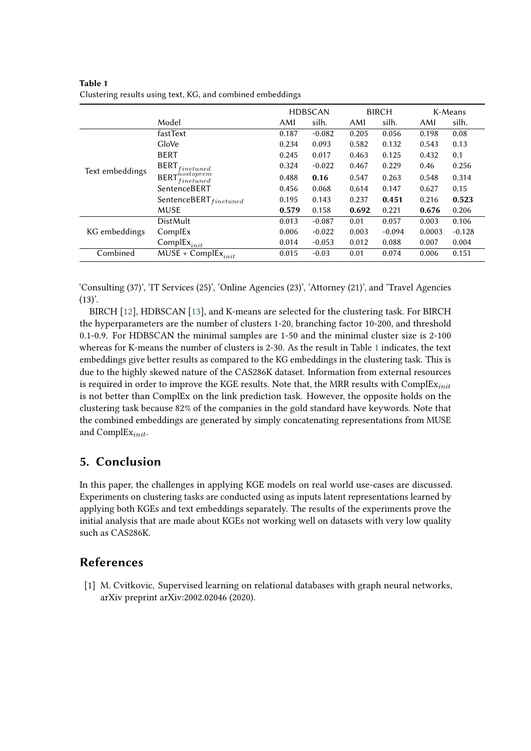|                 |                                                      |       | <b>HDBSCAN</b> |       | <b>BIRCH</b> |        | K-Means  |  |
|-----------------|------------------------------------------------------|-------|----------------|-------|--------------|--------|----------|--|
|                 | Model                                                | AMI   | silh.          | AMI   | silh.        | AMI    | silh.    |  |
| Text embeddings | fastText                                             | 0.187 | $-0.082$       | 0.205 | 0.056        | 0.198  | 0.08     |  |
|                 | GloVe                                                | 0.234 | 0.093          | 0.582 | 0.132        | 0.543  | 0.13     |  |
|                 | <b>BERT</b>                                          | 0.245 | 0.017          | 0.463 | 0.125        | 0.432  | 0.1      |  |
|                 | <b>BERT</b><br>finetuned                             | 0.324 | $-0.022$       | 0.467 | 0.229        | 0.46   | 0.256    |  |
|                 | $BERT_{finetuned}^{nostoprem}$                       | 0.488 | 0.16           | 0.547 | 0.263        | 0.548  | 0.314    |  |
|                 | SentenceBERT                                         | 0.456 | 0.068          | 0.614 | 0.147        | 0.627  | 0.15     |  |
|                 | SentenceBERT $_{finetuned}$                          | 0.195 | 0.143          | 0.237 | 0.451        | 0.216  | 0.523    |  |
|                 | MUSE                                                 | 0.579 | 0.158          | 0.692 | 0.221        | 0.676  | 0.206    |  |
| KG embeddings   | <b>DistMult</b>                                      | 0.013 | $-0.087$       | 0.01  | 0.057        | 0.003  | 0.106    |  |
|                 | ComplEx                                              | 0.006 | $-0.022$       | 0.003 | $-0.094$     | 0.0003 | $-0.128$ |  |
|                 | $\mathsf{ComplEx}_{init}$                            | 0.014 | $-0.053$       | 0.012 | 0.088        | 0.007  | 0.004    |  |
| Combined        | $\overline{\mathsf{MUSE}}$ + ComplEx <sub>init</sub> | 0.015 | $-0.03$        | 0.01  | 0.074        | 0.006  | 0.151    |  |

<span id="page-4-2"></span>**Table 1** Clustering results using text, KG, and combined embeddings

'Consulting (37)', 'IT Services (25)', 'Online Agencies (23)', 'Attorney (21)', and 'Travel Agencies  $(13)$ <sup>'</sup>.

BIRCH [\[12\]](#page-5-10), HDBSCAN [\[13\]](#page-5-11), and K-means are selected for the clustering task. For BIRCH the hyperparameters are the number of clusters 1-20, branching factor 10-200, and threshold 0.1-0.9. For HDBSCAN the minimal samples are 1-50 and the minimal cluster size is 2-100 whereas for K-means the number of clusters is 2-30. As the result in Table [1](#page-4-2) indicates, the text embeddings give better results as compared to the KG embeddings in the clustering task. This is due to the highly skewed nature of the CAS286K dataset. Information from external resources is required in order to improve the KGE results. Note that, the MRR results with  $ComplEx_{init}$ is not better than ComplEx on the link prediction task. However, the opposite holds on the clustering task because 82% of the companies in the gold standard have keywords. Note that the combined embeddings are generated by simply concatenating representations from MUSE and Compl $Ex_{init}$ .

# <span id="page-4-1"></span>**5. Conclusion**

In this paper, the challenges in applying KGE models on real world use-cases are discussed. Experiments on clustering tasks are conducted using as inputs latent representations learned by applying both KGEs and text embeddings separately. The results of the experiments prove the initial analysis that are made about KGEs not working well on datasets with very low quality such as CAS286K.

## **References**

<span id="page-4-0"></span>[1] M. Cvitkovic, Supervised learning on relational databases with graph neural networks, arXiv preprint arXiv:2002.02046 (2020).